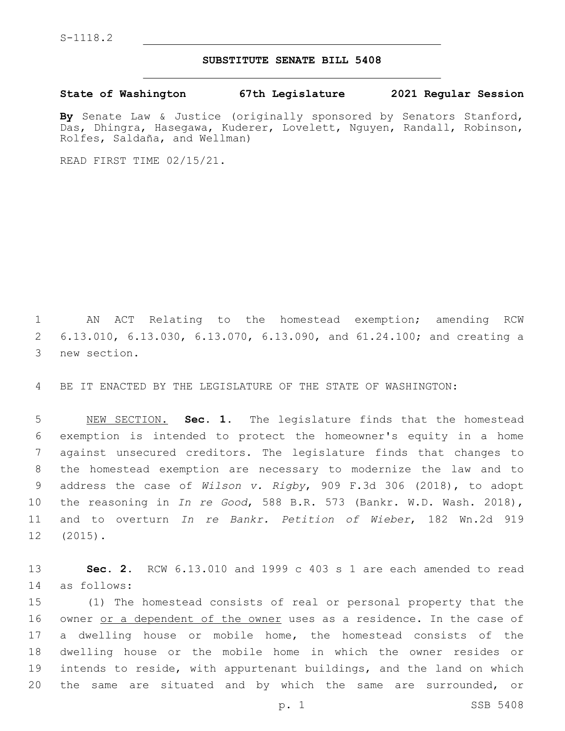## **SUBSTITUTE SENATE BILL 5408**

**State of Washington 67th Legislature 2021 Regular Session**

**By** Senate Law & Justice (originally sponsored by Senators Stanford, Das, Dhingra, Hasegawa, Kuderer, Lovelett, Nguyen, Randall, Robinson, Rolfes, Saldaña, and Wellman)

READ FIRST TIME 02/15/21.

 AN ACT Relating to the homestead exemption; amending RCW 6.13.010, 6.13.030, 6.13.070, 6.13.090, and 61.24.100; and creating a 3 new section.

BE IT ENACTED BY THE LEGISLATURE OF THE STATE OF WASHINGTON:

 NEW SECTION. **Sec. 1.** The legislature finds that the homestead exemption is intended to protect the homeowner's equity in a home against unsecured creditors. The legislature finds that changes to the homestead exemption are necessary to modernize the law and to address the case of *Wilson v. Rigby*, 909 F.3d 306 (2018), to adopt the reasoning in *In re Good*, 588 B.R. 573 (Bankr. W.D. Wash. 2018), and to overturn *In re Bankr. Petition of Wieber*, 182 Wn.2d 919 (2015).

 **Sec. 2.** RCW 6.13.010 and 1999 c 403 s 1 are each amended to read as follows:14

 (1) The homestead consists of real or personal property that the 16 owner or a dependent of the owner uses as a residence. In the case of a dwelling house or mobile home, the homestead consists of the dwelling house or the mobile home in which the owner resides or intends to reside, with appurtenant buildings, and the land on which the same are situated and by which the same are surrounded, or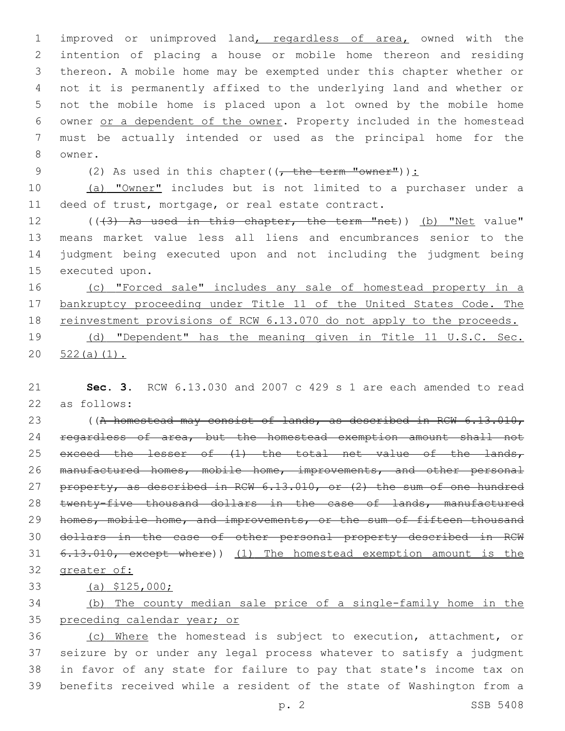improved or unimproved land, regardless of area, owned with the intention of placing a house or mobile home thereon and residing thereon. A mobile home may be exempted under this chapter whether or not it is permanently affixed to the underlying land and whether or not the mobile home is placed upon a lot owned by the mobile home owner or a dependent of the owner. Property included in the homestead must be actually intended or used as the principal home for the 8 owner.

9 (2) As used in this chapter( $(\overline{f}, \overline{f})$  the term "owner")):

 (a) "Owner" includes but is not limited to a purchaser under a 11 deed of trust, mortgage, or real estate contract.

 $((43)$  As used in this chapter, the term "net)) (b) "Net value" means market value less all liens and encumbrances senior to the judgment being executed upon and not including the judgment being 15 executed upon.

16 (c) "Forced sale" includes any sale of homestead property in a bankruptcy proceeding under Title 11 of the United States Code. The reinvestment provisions of RCW 6.13.070 do not apply to the proceeds. (d) "Dependent" has the meaning given in Title 11 U.S.C. Sec.

20 522(a)(1).

 **Sec. 3.** RCW 6.13.030 and 2007 c 429 s 1 are each amended to read 22 as follows:

23 ((A homestead may consist of lands, as described in RCW 6.13.010, 24 regardless of area, but the homestead exemption amount shall not 25 exceed the lesser of (1) the total net value of the lands, 26 manufactured homes, mobile home, improvements, and other personal 27 property, as described in RCW 6.13.010, or (2) the sum of one hundred twenty-five thousand dollars in the case of lands, manufactured 29 homes, mobile home, and improvements, or the sum of fifteen thousand dollars in the case of other personal property described in RCW 6.13.010, except where)) (1) The homestead exemption amount is the greater of:

(a) \$125,000;

 (b) The county median sale price of a single-family home in the preceding calendar year; or

 (c) Where the homestead is subject to execution, attachment, or seizure by or under any legal process whatever to satisfy a judgment in favor of any state for failure to pay that state's income tax on benefits received while a resident of the state of Washington from a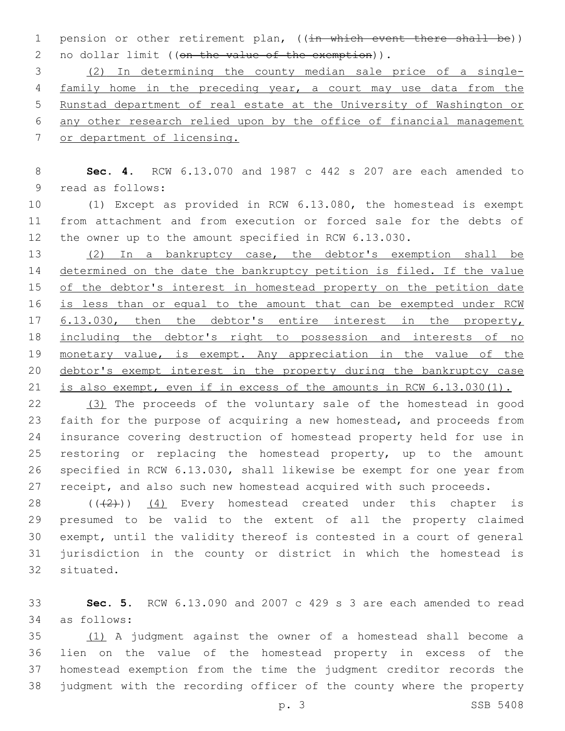1 pension or other retirement plan, ((in which event there shall be)) 2 no dollar limit ((on the value of the exemption)).

 (2) In determining the county median sale price of a single- family home in the preceding year, a court may use data from the Runstad department of real estate at the University of Washington or any other research relied upon by the office of financial management or department of licensing.

 **Sec. 4.** RCW 6.13.070 and 1987 c 442 s 207 are each amended to 9 read as follows:

 (1) Except as provided in RCW 6.13.080, the homestead is exempt from attachment and from execution or forced sale for the debts of the owner up to the amount specified in RCW 6.13.030.

 (2) In a bankruptcy case, the debtor's exemption shall be 14 determined on the date the bankruptcy petition is filed. If the value 15 of the debtor's interest in homestead property on the petition date 16 is less than or equal to the amount that can be exempted under RCW 6.13.030, then the debtor's entire interest in the property, including the debtor's right to possession and interests of no monetary value, is exempt. Any appreciation in the value of the debtor's exempt interest in the property during the bankruptcy case is also exempt, even if in excess of the amounts in RCW 6.13.030(1).

 (3) The proceeds of the voluntary sale of the homestead in good faith for the purpose of acquiring a new homestead, and proceeds from insurance covering destruction of homestead property held for use in restoring or replacing the homestead property, up to the amount specified in RCW 6.13.030, shall likewise be exempt for one year from 27 receipt, and also such new homestead acquired with such proceeds.

 $((+2+))$  (4) Every homestead created under this chapter is presumed to be valid to the extent of all the property claimed exempt, until the validity thereof is contested in a court of general jurisdiction in the county or district in which the homestead is 32 situated.

 **Sec. 5.** RCW 6.13.090 and 2007 c 429 s 3 are each amended to read as follows:34

 (1) A judgment against the owner of a homestead shall become a lien on the value of the homestead property in excess of the homestead exemption from the time the judgment creditor records the judgment with the recording officer of the county where the property

p. 3 SSB 5408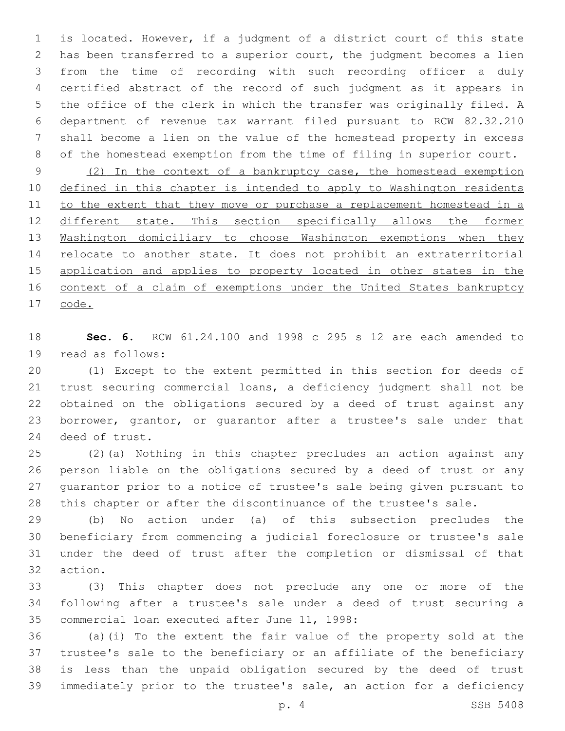is located. However, if a judgment of a district court of this state has been transferred to a superior court, the judgment becomes a lien from the time of recording with such recording officer a duly certified abstract of the record of such judgment as it appears in the office of the clerk in which the transfer was originally filed. A department of revenue tax warrant filed pursuant to RCW 82.32.210 shall become a lien on the value of the homestead property in excess of the homestead exemption from the time of filing in superior court.

 (2) In the context of a bankruptcy case, the homestead exemption defined in this chapter is intended to apply to Washington residents 11 to the extent that they move or purchase a replacement homestead in a 12 different state. This section specifically allows the former Washington domiciliary to choose Washington exemptions when they 14 relocate to another state. It does not prohibit an extraterritorial 15 application and applies to property located in other states in the 16 context of a claim of exemptions under the United States bankruptcy code.

 **Sec. 6.** RCW 61.24.100 and 1998 c 295 s 12 are each amended to 19 read as follows:

 (1) Except to the extent permitted in this section for deeds of trust securing commercial loans, a deficiency judgment shall not be obtained on the obligations secured by a deed of trust against any borrower, grantor, or guarantor after a trustee's sale under that 24 deed of trust.

 (2)(a) Nothing in this chapter precludes an action against any person liable on the obligations secured by a deed of trust or any guarantor prior to a notice of trustee's sale being given pursuant to this chapter or after the discontinuance of the trustee's sale.

 (b) No action under (a) of this subsection precludes the beneficiary from commencing a judicial foreclosure or trustee's sale under the deed of trust after the completion or dismissal of that 32 action.

 (3) This chapter does not preclude any one or more of the following after a trustee's sale under a deed of trust securing a 35 commercial loan executed after June 11, 1998:

 (a)(i) To the extent the fair value of the property sold at the trustee's sale to the beneficiary or an affiliate of the beneficiary is less than the unpaid obligation secured by the deed of trust immediately prior to the trustee's sale, an action for a deficiency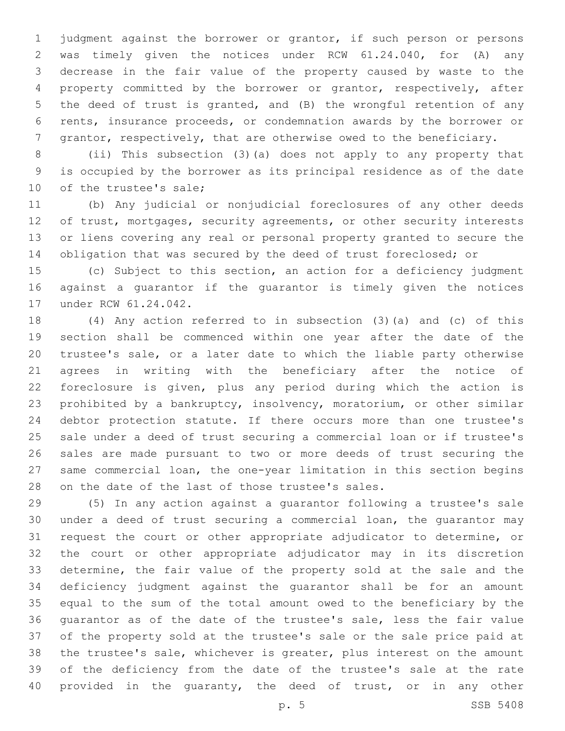judgment against the borrower or grantor, if such person or persons was timely given the notices under RCW 61.24.040, for (A) any decrease in the fair value of the property caused by waste to the property committed by the borrower or grantor, respectively, after the deed of trust is granted, and (B) the wrongful retention of any rents, insurance proceeds, or condemnation awards by the borrower or grantor, respectively, that are otherwise owed to the beneficiary.

 (ii) This subsection (3)(a) does not apply to any property that is occupied by the borrower as its principal residence as of the date 10 of the trustee's sale;

 (b) Any judicial or nonjudicial foreclosures of any other deeds 12 of trust, mortgages, security agreements, or other security interests or liens covering any real or personal property granted to secure the obligation that was secured by the deed of trust foreclosed; or

 (c) Subject to this section, an action for a deficiency judgment against a guarantor if the guarantor is timely given the notices 17 under RCW 61.24.042.

 (4) Any action referred to in subsection (3)(a) and (c) of this section shall be commenced within one year after the date of the trustee's sale, or a later date to which the liable party otherwise agrees in writing with the beneficiary after the notice of foreclosure is given, plus any period during which the action is prohibited by a bankruptcy, insolvency, moratorium, or other similar debtor protection statute. If there occurs more than one trustee's sale under a deed of trust securing a commercial loan or if trustee's sales are made pursuant to two or more deeds of trust securing the same commercial loan, the one-year limitation in this section begins 28 on the date of the last of those trustee's sales.

 (5) In any action against a guarantor following a trustee's sale under a deed of trust securing a commercial loan, the guarantor may request the court or other appropriate adjudicator to determine, or the court or other appropriate adjudicator may in its discretion determine, the fair value of the property sold at the sale and the deficiency judgment against the guarantor shall be for an amount equal to the sum of the total amount owed to the beneficiary by the guarantor as of the date of the trustee's sale, less the fair value of the property sold at the trustee's sale or the sale price paid at the trustee's sale, whichever is greater, plus interest on the amount of the deficiency from the date of the trustee's sale at the rate provided in the guaranty, the deed of trust, or in any other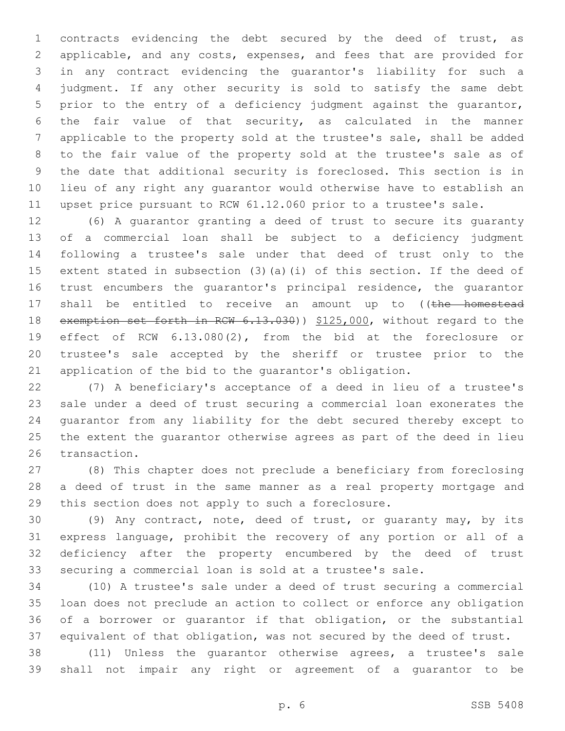contracts evidencing the debt secured by the deed of trust, as applicable, and any costs, expenses, and fees that are provided for in any contract evidencing the guarantor's liability for such a judgment. If any other security is sold to satisfy the same debt prior to the entry of a deficiency judgment against the guarantor, the fair value of that security, as calculated in the manner applicable to the property sold at the trustee's sale, shall be added to the fair value of the property sold at the trustee's sale as of the date that additional security is foreclosed. This section is in lieu of any right any guarantor would otherwise have to establish an upset price pursuant to RCW 61.12.060 prior to a trustee's sale.

 (6) A guarantor granting a deed of trust to secure its guaranty of a commercial loan shall be subject to a deficiency judgment following a trustee's sale under that deed of trust only to the extent stated in subsection (3)(a)(i) of this section. If the deed of trust encumbers the guarantor's principal residence, the guarantor 17 shall be entitled to receive an amount up to ((the homestead 18 exemption set forth in RCW 6.13.030)) \$125,000, without regard to the effect of RCW 6.13.080(2), from the bid at the foreclosure or trustee's sale accepted by the sheriff or trustee prior to the application of the bid to the guarantor's obligation.

 (7) A beneficiary's acceptance of a deed in lieu of a trustee's sale under a deed of trust securing a commercial loan exonerates the guarantor from any liability for the debt secured thereby except to the extent the guarantor otherwise agrees as part of the deed in lieu 26 transaction.

 (8) This chapter does not preclude a beneficiary from foreclosing a deed of trust in the same manner as a real property mortgage and this section does not apply to such a foreclosure.

 (9) Any contract, note, deed of trust, or guaranty may, by its express language, prohibit the recovery of any portion or all of a deficiency after the property encumbered by the deed of trust securing a commercial loan is sold at a trustee's sale.

 (10) A trustee's sale under a deed of trust securing a commercial loan does not preclude an action to collect or enforce any obligation of a borrower or guarantor if that obligation, or the substantial equivalent of that obligation, was not secured by the deed of trust.

 (11) Unless the guarantor otherwise agrees, a trustee's sale shall not impair any right or agreement of a guarantor to be